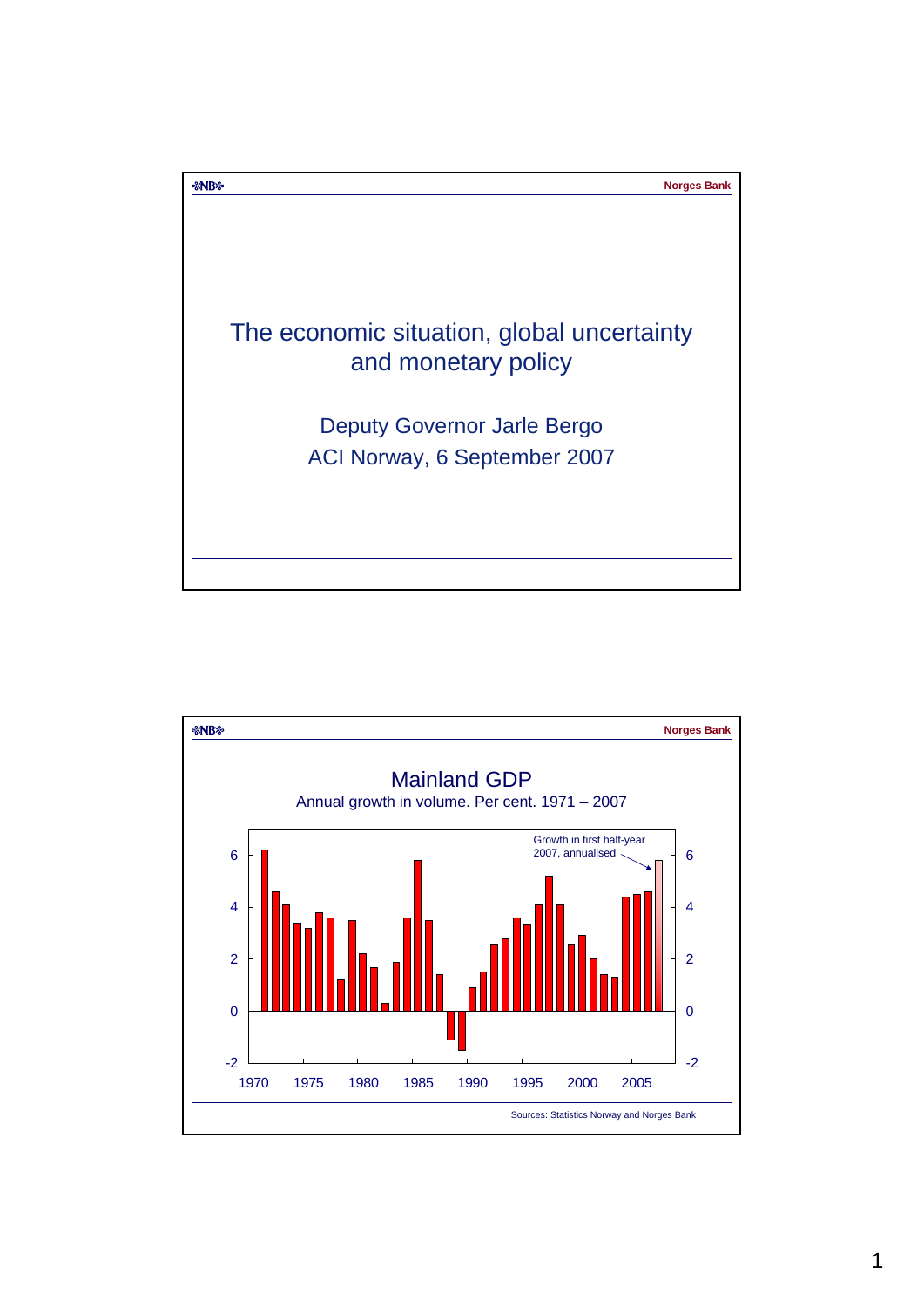

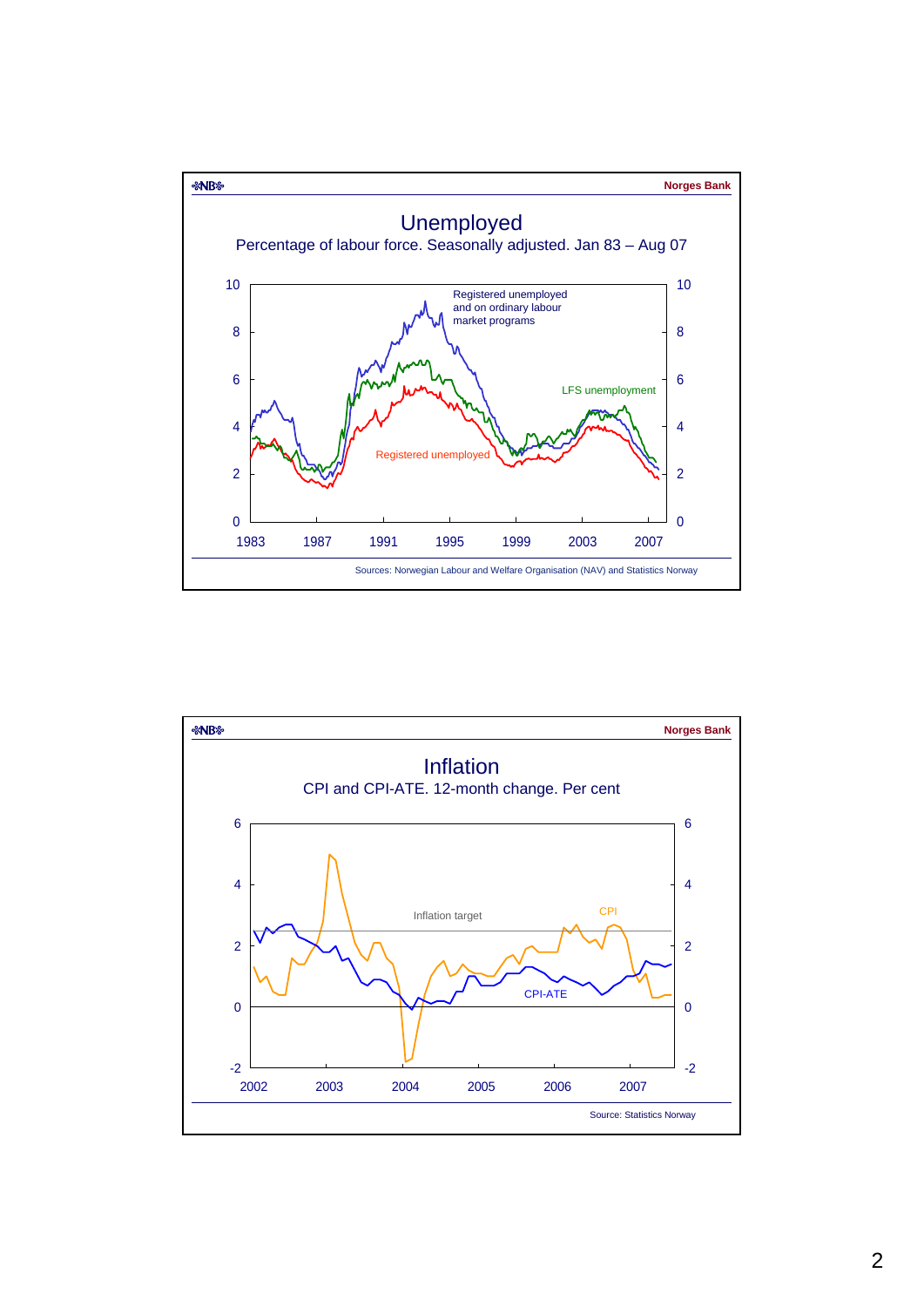

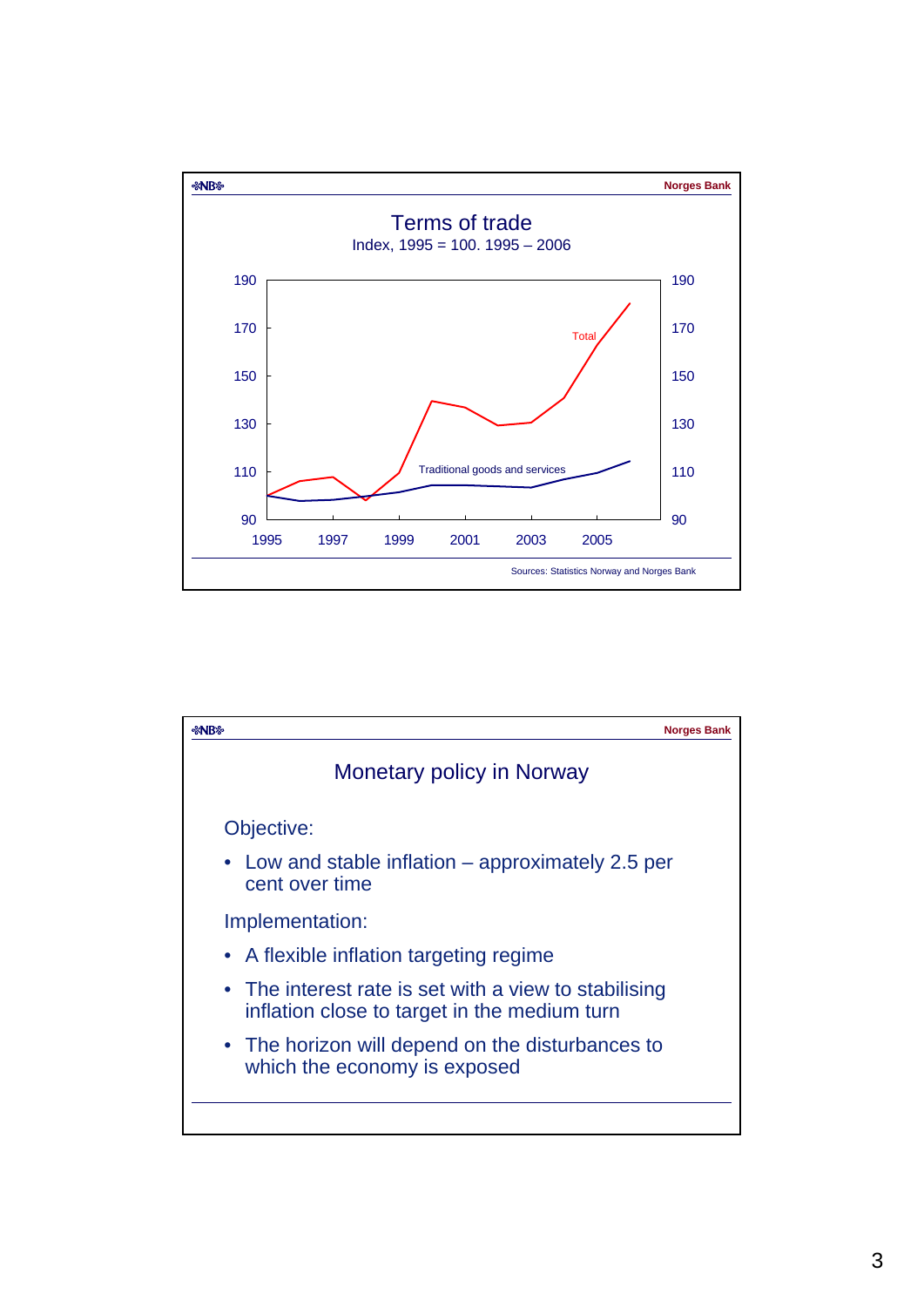

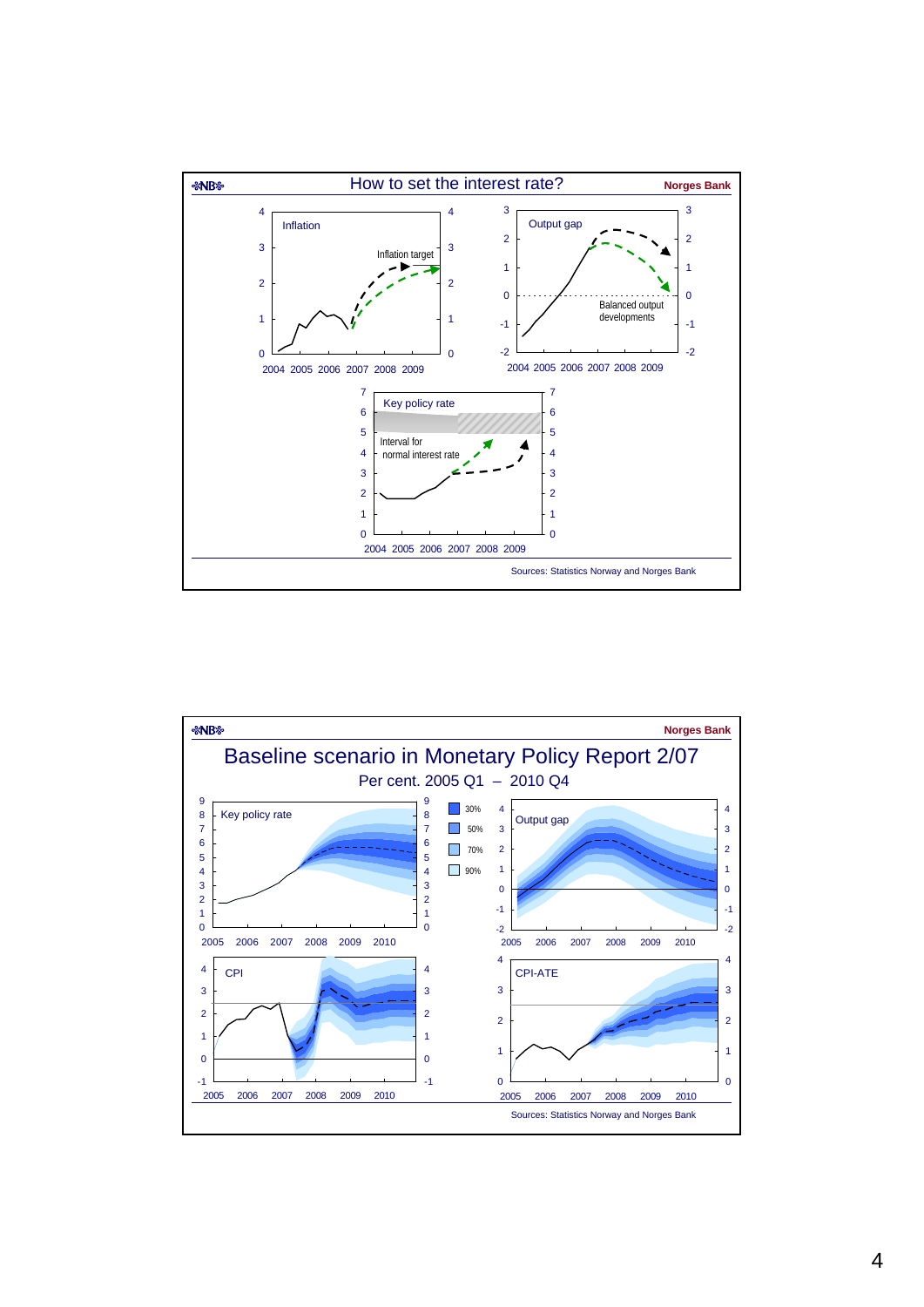

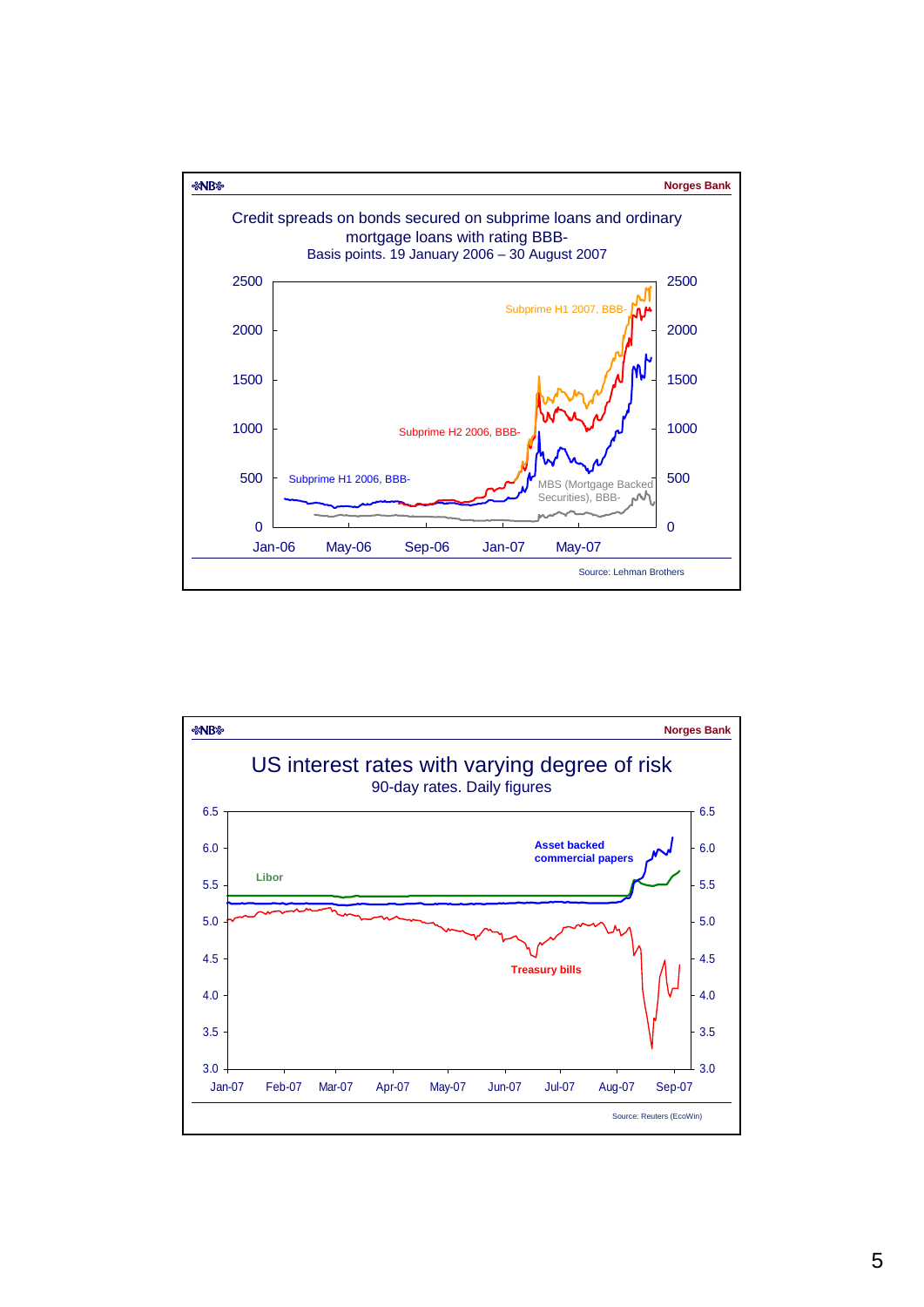

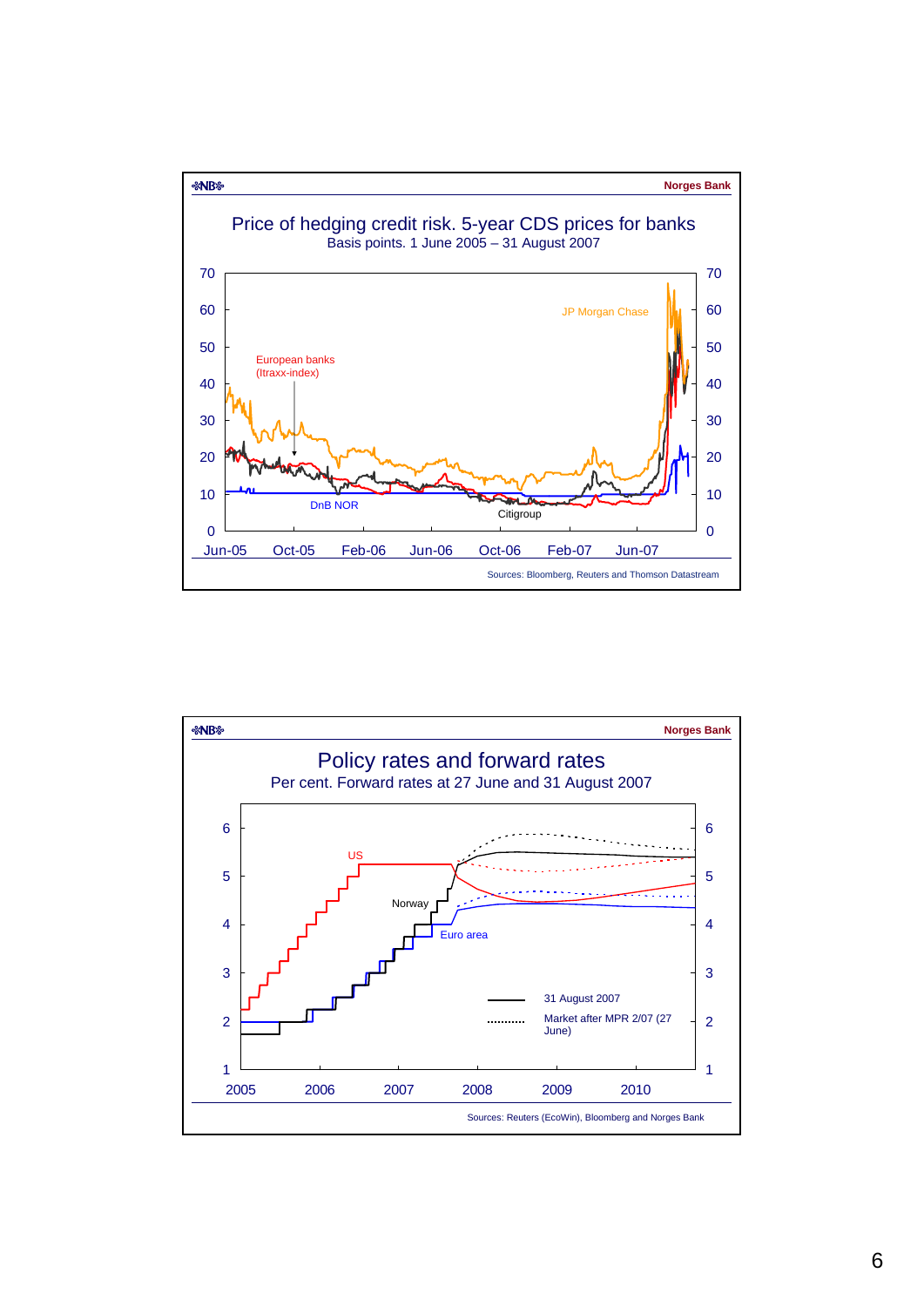

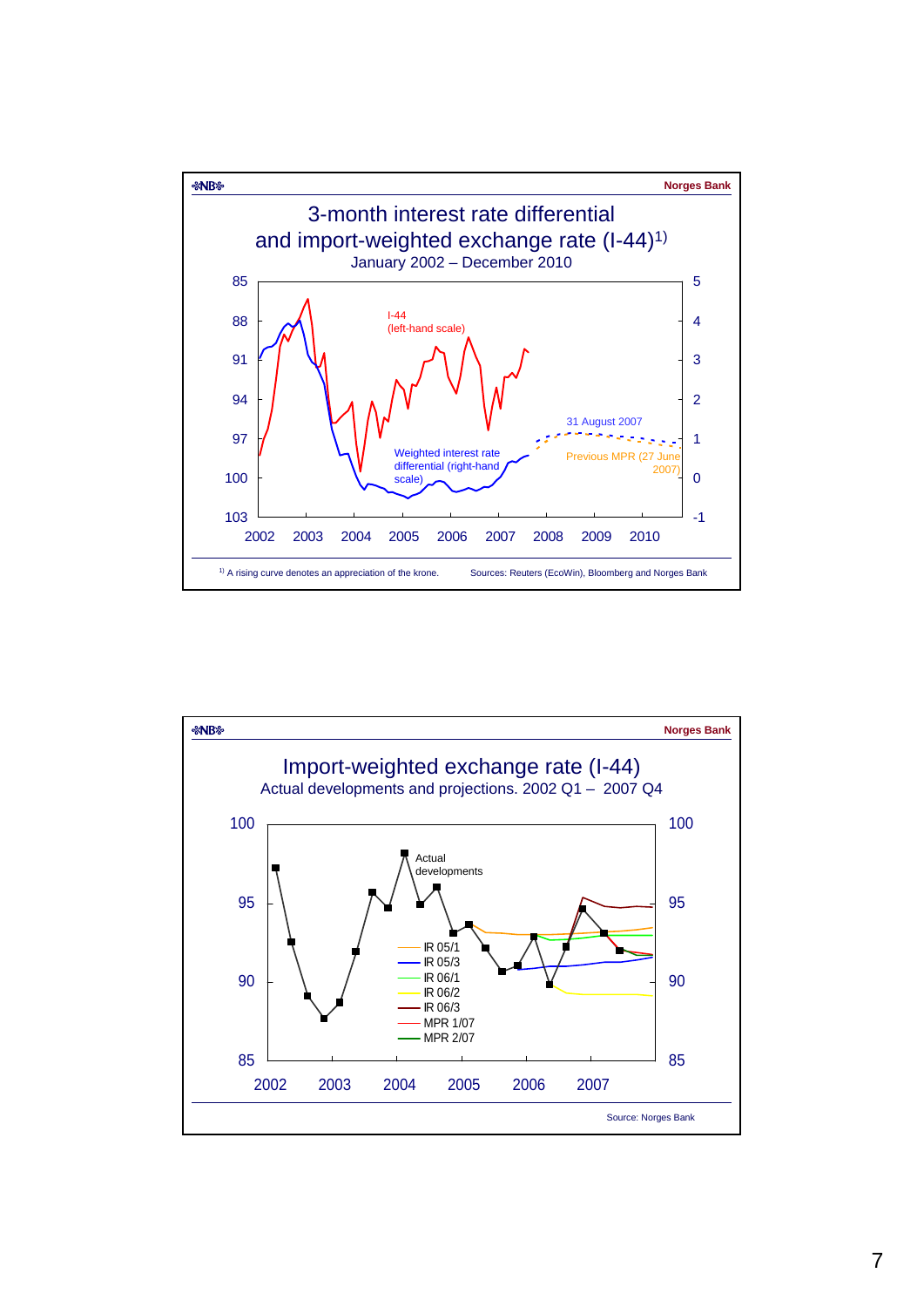

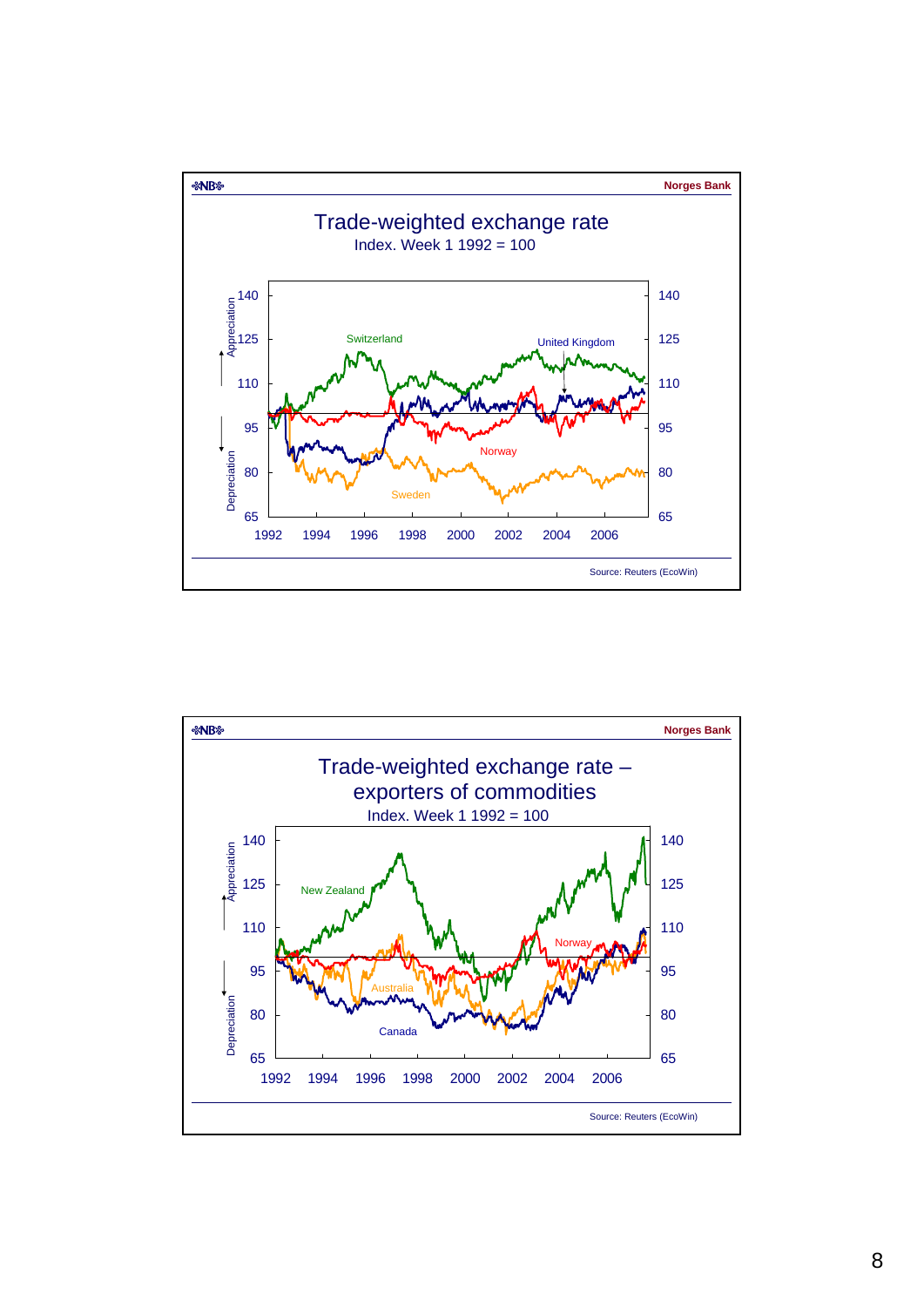